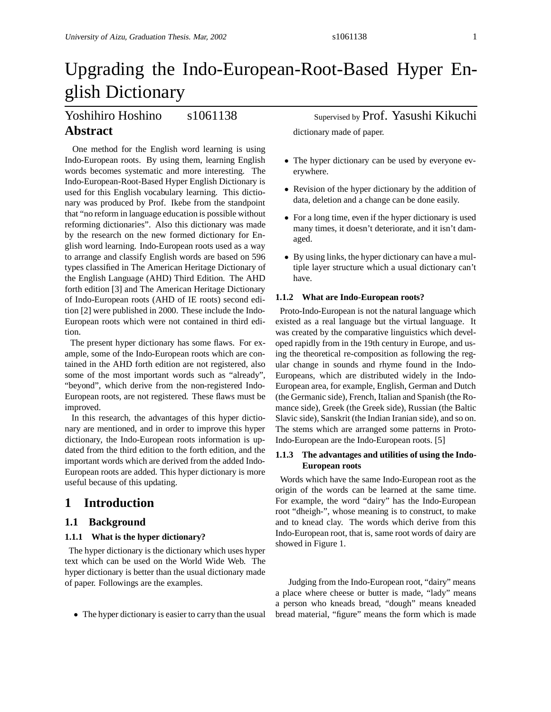# Upgrading the Indo-European-Root-Based Hyper English Dictionary

# Yoshihiro Hoshino s1061138 Supervised by Prof. Yasushi Kikuchi **Abstract**

One method for the English word learning is using Indo-European roots. By using them, learning English words becomes systematic and more interesting. The Indo-European-Root-Based Hyper English Dictionary is used for this English vocabulary learning. This dictionary was produced by Prof. Ikebe from the standpoint that "no reform in language education is possible without reforming dictionaries". Also this dictionary was made by the research on the new formed dictionary for English word learning. Indo-European roots used as a way to arrange and classify English words are based on 596 types classified in The American Heritage Dictionary of the English Language (AHD) Third Edition. The AHD forth edition [3] and The American Heritage Dictionary of Indo-European roots (AHD of IE roots) second edition [2] were published in 2000. These include the Indo-European roots which were not contained in third edition.

The present hyper dictionary has some flaws. For example, some of the Indo-European roots which are contained in the AHD forth edition are not registered, also some of the most important words such as "already", "beyond", which derive from the non-registered Indo-European roots, are not registered. These flaws must be improved.

In this research, the advantages of this hyper dictionary are mentioned, and in order to improve this hyper dictionary, the Indo-European roots information is updated from the third edition to the forth edition, and the important words which are derived from the added Indo-European roots are added. This hyper dictionary is more useful because of this updating.

# **1 Introduction**

# **1.1 Background**

## **1.1.1 What is the hyper dictionary?**

The hyper dictionary is the dictionary which uses hyper text which can be used on the World Wide Web. The hyper dictionary is better than the usual dictionary made of paper. Followings are the examples.

• The hyper dictionary is easier to carry than the usual

dictionary made of paper.

- The hyper dictionary can be used by everyone everywhere.
- Revision of the hyper dictionary by the addition of data, deletion and a change can be done easily.
- For a long time, even if the hyper dictionary is used many times, it doesn't deteriorate, and it isn't damaged.
- By using links, the hyper dictionary can have a multiple layer structure which a usual dictionary can't have.

# **1.1.2 What are Indo-European roots?**

Proto-Indo-European is not the natural language which existed as a real language but the virtual language. It was created by the comparative linguistics which developed rapidly from in the 19th century in Europe, and using the theoretical re-composition as following the regular change in sounds and rhyme found in the Indo-Europeans, which are distributed widely in the Indo-European area, for example, English, German and Dutch (the Germanic side), French, Italian and Spanish (the Romance side), Greek (the Greek side), Russian (the Baltic Slavic side), Sanskrit (the Indian Iranian side), and so on. The stems which are arranged some patterns in Proto-Indo-European are the Indo-European roots. [5]

# **1.1.3 The advantages and utilities of using the Indo-European roots**

Words which have the same Indo-European root as the origin of the words can be learned at the same time. For example, the word "dairy" has the Indo-European root "dheigh-", whose meaning is to construct, to make and to knead clay. The words which derive from this Indo-European root, that is, same root words of dairy are showed in Figure 1.

Judging from the Indo-European root, "dairy" means a place where cheese or butter is made, "lady" means a person who kneads bread, "dough" means kneaded bread material, "figure" means the form which is made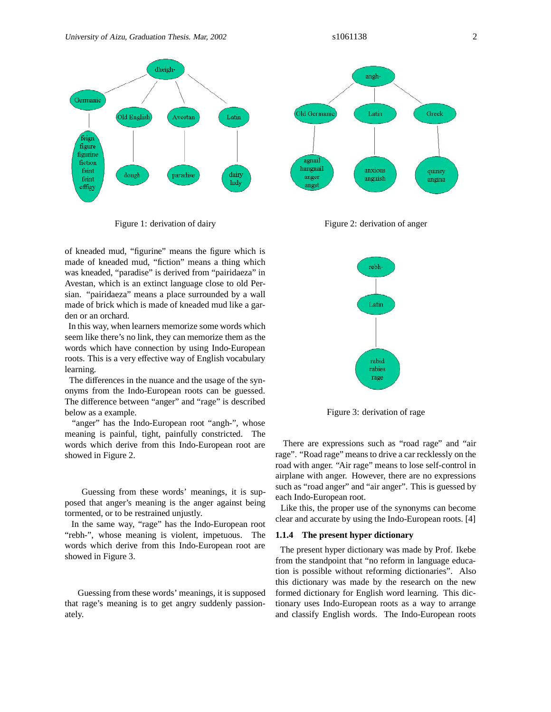

Figure 1: derivation of dairy

of kneaded mud, "figurine" means the figure which is made of kneaded mud, "fiction" means a thing which was kneaded, "paradise" is derived from "pairidaeza" in Avestan, which is an extinct language close to old Persian. "pairidaeza" means a place surrounded by a wall made of brick which is made of kneaded mud like a garden or an orchard.

In this way, when learners memorize some words which seem like there's no link, they can memorize them as the words which have connection by using Indo-European roots. This is a very effective way of English vocabulary learning.

The differences in the nuance and the usage of the synonyms from the Indo-European roots can be guessed. The difference between "anger" and "rage" is described below as a example.

"anger" has the Indo-European root "angh-", whose meaning is painful, tight, painfully constricted. The words which derive from this Indo-European root are showed in Figure 2.

Guessing from these words' meanings, it is supposed that anger's meaning is the anger against being tormented, or to be restrained unjustly.

In the same way, "rage" has the Indo-European root "rebh-", whose meaning is violent, impetuous. The words which derive from this Indo-European root are showed in Figure 3.

Guessing from these words' meanings, it is supposed that rage's meaning is to get angry suddenly passionately.



Figure 2: derivation of anger



Figure 3: derivation of rage

There are expressions such as "road rage" and "air rage". "Road rage" means to drive a car recklessly on the road with anger. "Air rage" means to lose self-control in airplane with anger. However, there are no expressions such as "road anger" and "air anger". This is guessed by each Indo-European root.

Like this, the proper use of the synonyms can become clear and accurate by using the Indo-European roots. [4]

#### **1.1.4 The present hyper dictionary**

The present hyper dictionary was made by Prof. Ikebe from the standpoint that "no reform in language education is possible without reforming dictionaries". Also this dictionary was made by the research on the new formed dictionary for English word learning. This dictionary uses Indo-European roots as a way to arrange and classify English words. The Indo-European roots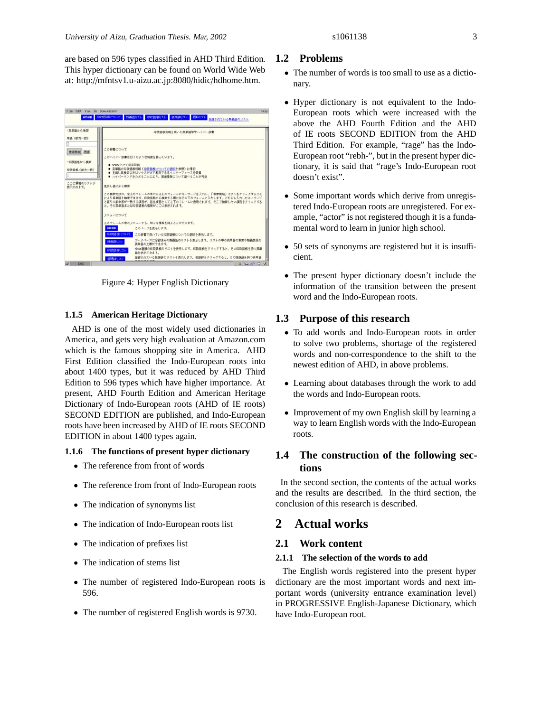| ・蒸離膳から検索                                        | 印段話解情報を用いた英華語学習ハイパー研書                                                                                                                                                                                                      |
|-------------------------------------------------|----------------------------------------------------------------------------------------------------------------------------------------------------------------------------------------------------------------------------|
| 単語 (前方一致)<br>検索開始 消去<br>・印数語格から検索<br>印数語集(前方一致) | この辞書について<br>このハイパー辞書は以下のような特徴を持っています。<br>● www上位で利用可能<br>● 英単語の印欧語根情報(印欧語根についての説明を参照)に着目<br>● 見出し語検索以外はマウスだけで利用できるインターフェースを装備<br>■ ハイパーリンクをたどることにより、関連情報について調べることが可能                                                       |
| ここに健補のリストが<br>表示されます。                           | 意出し話による検査<br>この検索方法は、左上のフレームの中にある上のフォームにキーワードを入力し、「検索関始」ボタンをクリックすること<br>により草単語を検索できます。印数語格から検索する際にはその下のフォームに入力します。どちらも入力したキーワード<br>と繰りの前半部が一致する項目が、該当項目として左下のフレームに表示されます。そこで検索したい項目をクリックする<br>と、その英草語または印政語相の情報がここに表示されます。 |
|                                                 | メニュービウいて<br>上のフレームの中のメニューから、輝々な怪報を得ることができます。<br><b>HOME</b><br>このページを素示します。                                                                                                                                                |
|                                                 | 印刷書標について<br>この辞書で用いている印数語相についての説明を表示します。                                                                                                                                                                                   |
|                                                 | データベースに登録済みの解毒語のリストを表示します。リストの中の英単語の検索や精義関係の<br>詩義語リスト<br>高単語の比較ができます。<br>全384種類の印欧語標のリストを表示します。印欧語帳をクリックすると、その印欧語県を持つ英単<br>印取品様リスト<br>語を表示できます。                                                                           |
|                                                 | 登録されている接張辞のリストを表示します。接張辞をクリックすると、その接張辞を持つ英単語<br>細胞転料リスト                                                                                                                                                                    |

Figure 4: Hyper English Dictionary

# **1.1.5 American Heritage Dictionary**

AHD is one of the most widely used dictionaries in America, and gets very high evaluation at Amazon.com which is the famous shopping site in America. AHD First Edition classified the Indo-European roots into about 1400 types, but it was reduced by AHD Third Edition to 596 types which have higher importance. At present, AHD Fourth Edition and American Heritage Dictionary of Indo-European roots (AHD of IE roots) SECOND EDITION are published, and Indo-European roots have been increased by AHD of IE roots SECOND EDITION in about 1400 types again.

#### **1.1.6 The functions of present hyper dictionary**

- The reference from front of words
- The reference from front of Indo-European roots
- The indication of synonyms list
- The indication of Indo-European roots list
- The indication of prefixes list
- The indication of stems list
- The number of registered Indo-European roots is 596.
- The number of registered English words is 9730.

# **1.2 Problems**

- The number of words is too small to use as a dictionary.
- Hyper dictionary is not equivalent to the Indo-European roots which were increased with the above the AHD Fourth Edition and the AHD of IE roots SECOND EDITION from the AHD Third Edition. For example, "rage" has the Indo-European root "rebh-", but in the present hyper dictionary, it is said that "rage's Indo-European root doesn't exist".
- Some important words which derive from unregistered Indo-European roots are unregistered. For example, "actor" is not registered though it is a fundamental word to learn in junior high school.
- 50 sets of synonyms are registered but it is insufficient.
- The present hyper dictionary doesn't include the information of the transition between the present word and the Indo-European roots.

# **1.3 Purpose of this research**

- To add words and Indo-European roots in order to solve two problems, shortage of the registered words and non-correspondence to the shift to the newest edition of AHD, in above problems.
- Learning about databases through the work to add the words and Indo-European roots.
- Improvement of my own English skill by learning a way to learn English words with the Indo-European roots.

# **1.4 The construction of the following sections**

In the second section, the contents of the actual works and the results are described. In the third section, the conclusion of this research is described.

# **2 Actual works**

# **2.1 Work content**

## **2.1.1 The selection of the words to add**

The English words registered into the present hyper dictionary are the most important words and next important words (university entrance examination level) in PROGRESSIVE English-Japanese Dictionary, which have Indo-European root.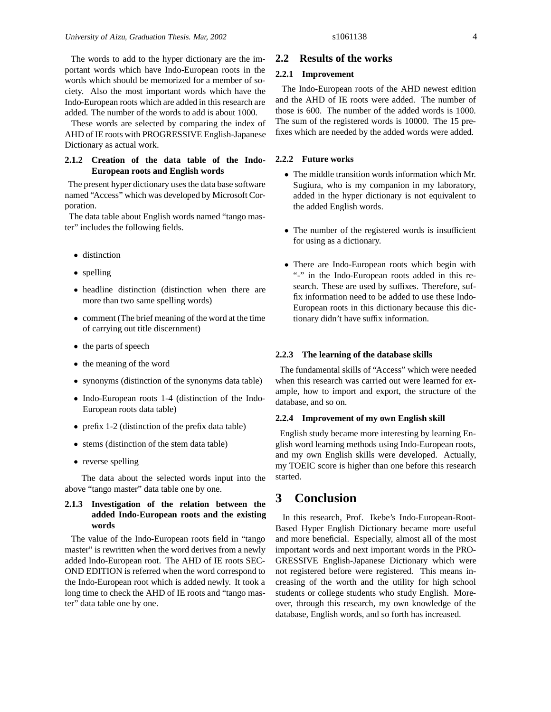The words to add to the hyper dictionary are the important words which have Indo-European roots in the words which should be memorized for a member of society. Also the most important words which have the Indo-European roots which are added in this research are added. The number of the words to add is about 1000.

These words are selected by comparing the index of AHD of IE roots with PROGRESSIVE English-Japanese Dictionary as actual work.

# **2.1.2 Creation of the data table of the Indo-European roots and English words**

The present hyper dictionary uses the data base software named "Access" which was developed by Microsoft Corporation.

The data table about English words named "tango master" includes the following fields.

- distinction
- spelling
- headline distinction (distinction when there are more than two same spelling words)
- comment (The brief meaning of the word at the time of carrying out title discernment)
- the parts of speech
- the meaning of the word
- synonyms (distinction of the synonyms data table)
- Indo-European roots 1-4 (distinction of the Indo-European roots data table)
- prefix 1-2 (distinction of the prefix data table)
- stems (distinction of the stem data table)
- reverse spelling

The data about the selected words input into the above "tango master" data table one by one.

# **2.1.3 Investigation of the relation between the added Indo-European roots and the existing words**

The value of the Indo-European roots field in "tango master" is rewritten when the word derives from a newly added Indo-European root. The AHD of IE roots SEC-OND EDITION is referred when the word correspond to the Indo-European root which is added newly. It took a long time to check the AHD of IE roots and "tango master" data table one by one.

# **2.2 Results of the works**

# **2.2.1 Improvement**

The Indo-European roots of the AHD newest edition and the AHD of IE roots were added. The number of those is 600. The number of the added words is 1000. The sum of the registered words is 10000. The 15 prefixes which are needed by the added words were added.

## **2.2.2 Future works**

- The middle transition words information which Mr. Sugiura, who is my companion in my laboratory, added in the hyper dictionary is not equivalent to the added English words.
- The number of the registered words is insufficient for using as a dictionary.
- There are Indo-European roots which begin with "-" in the Indo-European roots added in this research. These are used by suffixes. Therefore, suffix information need to be added to use these Indo-European roots in this dictionary because this dictionary didn't have suffix information.

#### **2.2.3 The learning of the database skills**

The fundamental skills of "Access" which were needed when this research was carried out were learned for example, how to import and export, the structure of the database, and so on.

#### **2.2.4 Improvement of my own English skill**

English study became more interesting by learning English word learning methods using Indo-European roots, and my own English skills were developed. Actually, my TOEIC score is higher than one before this research started.

# **3 Conclusion**

In this research, Prof. Ikebe's Indo-European-Root-Based Hyper English Dictionary became more useful and more beneficial. Especially, almost all of the most important words and next important words in the PRO-GRESSIVE English-Japanese Dictionary which were not registered before were registered. This means increasing of the worth and the utility for high school students or college students who study English. Moreover, through this research, my own knowledge of the database, English words, and so forth has increased.